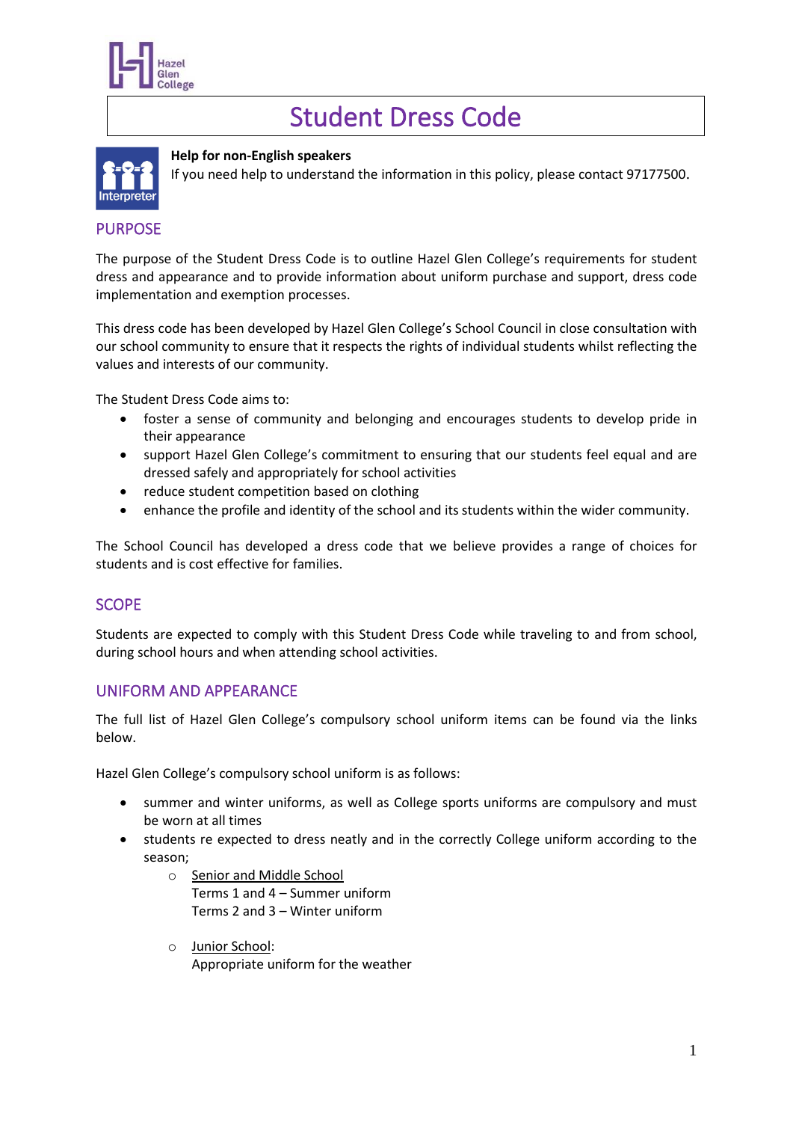

# Student Dress Code



### **Help for non-English speakers**

If you need help to understand the information in this policy, please contact 97177500.

# PURPOSE

The purpose of the Student Dress Code is to outline Hazel Glen College's requirements for student dress and appearance and to provide information about uniform purchase and support, dress code implementation and exemption processes.

This dress code has been developed by Hazel Glen College's School Council in close consultation with our school community to ensure that it respects the rights of individual students whilst reflecting the values and interests of our community.

The Student Dress Code aims to:

- foster a sense of community and belonging and encourages students to develop pride in their appearance
- support Hazel Glen College's commitment to ensuring that our students feel equal and are dressed safely and appropriately for school activities
- reduce student competition based on clothing
- enhance the profile and identity of the school and its students within the wider community.

The School Council has developed a dress code that we believe provides a range of choices for students and is cost effective for families.

# **SCOPE**

Students are expected to comply with this Student Dress Code while traveling to and from school, during school hours and when attending school activities.

# UNIFORM AND APPEARANCE

The full list of Hazel Glen College's compulsory school uniform items can be found via the links below.

Hazel Glen College's compulsory school uniform is as follows:

- summer and winter uniforms, as well as College sports uniforms are compulsory and must be worn at all times
- students re expected to dress neatly and in the correctly College uniform according to the season;
	- o Senior and Middle School Terms 1 and 4 – Summer uniform Terms 2 and 3 – Winter uniform
	- o Junior School: Appropriate uniform for the weather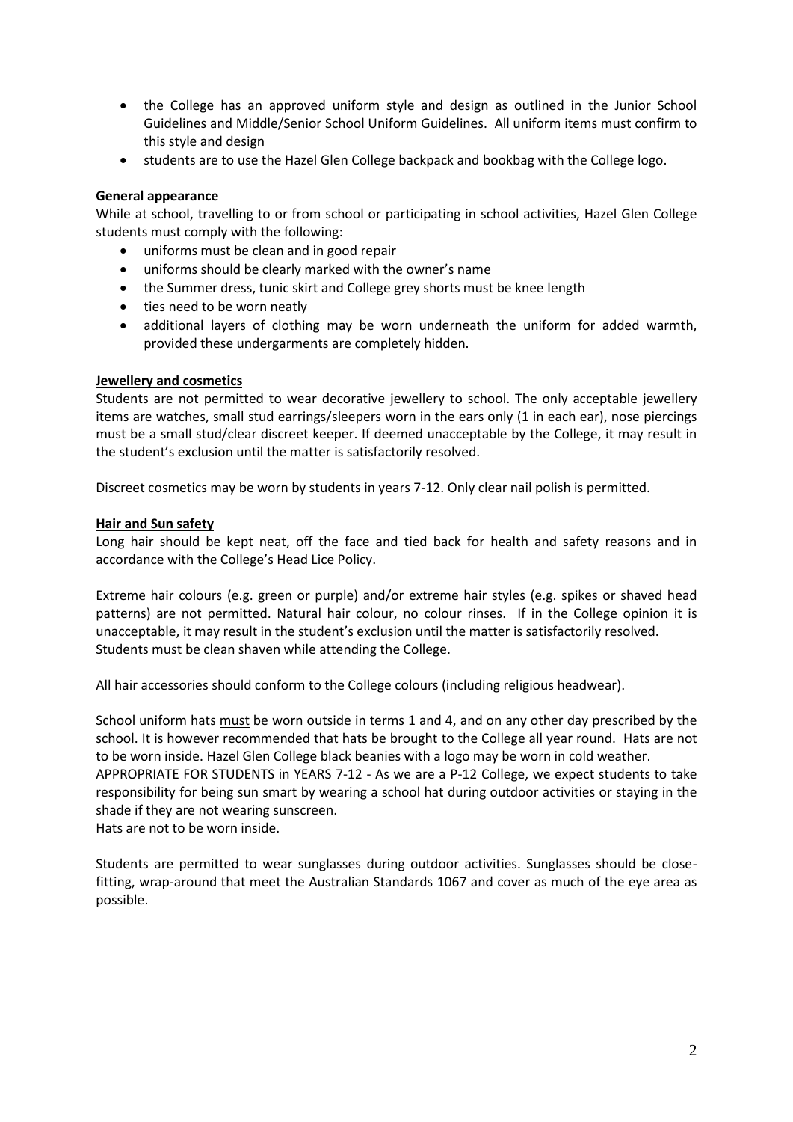- the College has an approved uniform style and design as outlined in the Junior School Guidelines and Middle/Senior School Uniform Guidelines. All uniform items must confirm to this style and design
- students are to use the Hazel Glen College backpack and bookbag with the College logo.

#### **General appearance**

While at school, travelling to or from school or participating in school activities, Hazel Glen College students must comply with the following:

- uniforms must be clean and in good repair
- uniforms should be clearly marked with the owner's name
- the Summer dress, tunic skirt and College grey shorts must be knee length
- ties need to be worn neatly
- additional layers of clothing may be worn underneath the uniform for added warmth, provided these undergarments are completely hidden.

#### **Jewellery and cosmetics**

Students are not permitted to wear decorative jewellery to school. The only acceptable jewellery items are watches, small stud earrings/sleepers worn in the ears only (1 in each ear), nose piercings must be a small stud/clear discreet keeper. If deemed unacceptable by the College, it may result in the student's exclusion until the matter is satisfactorily resolved.

Discreet cosmetics may be worn by students in years 7-12. Only clear nail polish is permitted.

#### **Hair and Sun safety**

Long hair should be kept neat, off the face and tied back for health and safety reasons and in accordance with the College's Head Lice Policy.

Extreme hair colours (e.g. green or purple) and/or extreme hair styles (e.g. spikes or shaved head patterns) are not permitted. Natural hair colour, no colour rinses. If in the College opinion it is unacceptable, it may result in the student's exclusion until the matter is satisfactorily resolved. Students must be clean shaven while attending the College.

All hair accessories should conform to the College colours (including religious headwear).

School uniform hats must be worn outside in terms 1 and 4, and on any other day prescribed by the school. It is however recommended that hats be brought to the College all year round. Hats are not to be worn inside. Hazel Glen College black beanies with a logo may be worn in cold weather. APPROPRIATE FOR STUDENTS in YEARS 7-12 - As we are a P-12 College, we expect students to take responsibility for being sun smart by wearing a school hat during outdoor activities or staying in the shade if they are not wearing sunscreen. Hats are not to be worn inside.

Students are permitted to wear sunglasses during outdoor activities. Sunglasses should be closefitting, wrap-around that meet the Australian Standards 1067 and cover as much of the eye area as possible.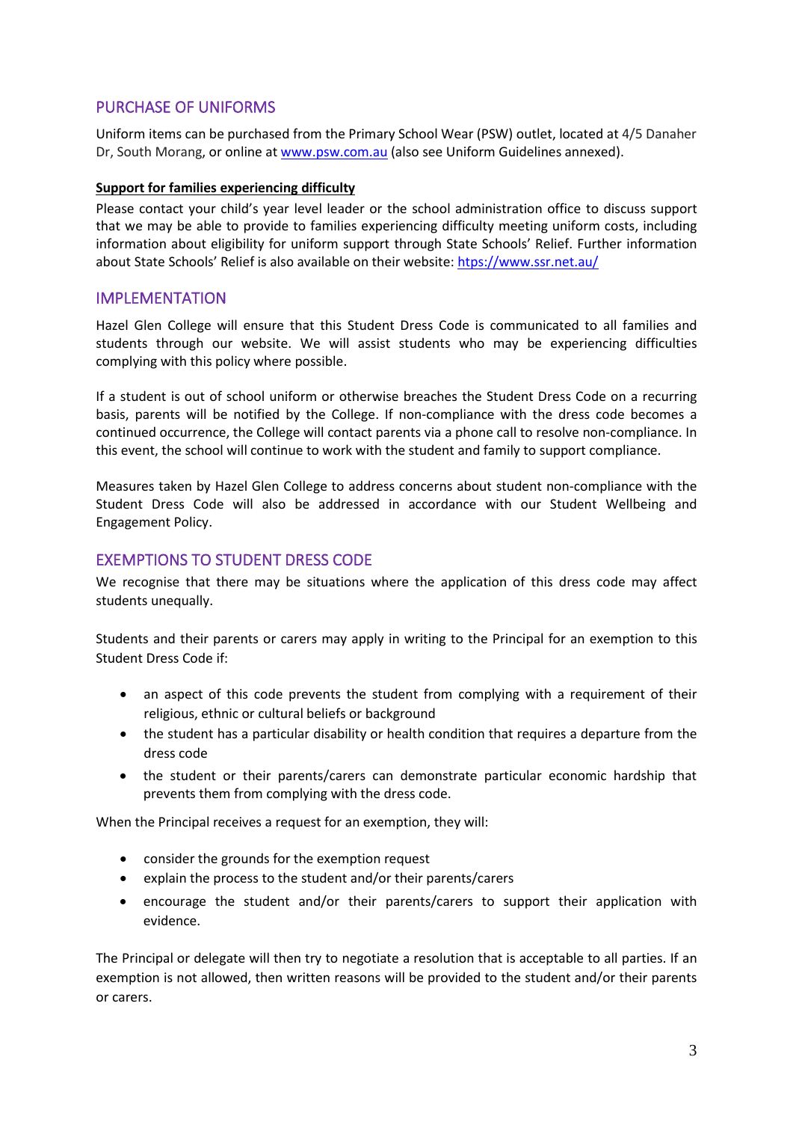# PURCHASE OF UNIFORMS

Uniform items can be purchased from the Primary School Wear (PSW) outlet, located at 4/5 Danaher Dr, South Morang, or online at [www.psw.com.au](http://www.psw.com.au/) (also see Uniform Guidelines annexed).

#### **Support for families experiencing difficulty**

Please contact your child's year level leader or the school administration office to discuss support that we may be able to provide to families experiencing difficulty meeting uniform costs, including information about eligibility for uniform support through State Schools' Relief. Further information about State Schools' Relief is also available on their website: [htps://www.ssr.net.au/](https://www.ssr.net.au/)

# IMPLEMENTATION

Hazel Glen College will ensure that this Student Dress Code is communicated to all families and students through our website. We will assist students who may be experiencing difficulties complying with this policy where possible.

If a student is out of school uniform or otherwise breaches the Student Dress Code on a recurring basis, parents will be notified by the College. If non-compliance with the dress code becomes a continued occurrence, the College will contact parents via a phone call to resolve non-compliance. In this event, the school will continue to work with the student and family to support compliance.

Measures taken by Hazel Glen College to address concerns about student non-compliance with the Student Dress Code will also be addressed in accordance with our Student Wellbeing and Engagement Policy.

## EXEMPTIONS TO STUDENT DRESS CODE

We recognise that there may be situations where the application of this dress code may affect students unequally.

Students and their parents or carers may apply in writing to the Principal for an exemption to this Student Dress Code if:

- an aspect of this code prevents the student from complying with a requirement of their religious, ethnic or cultural beliefs or background
- the student has a particular disability or health condition that requires a departure from the dress code
- the student or their parents/carers can demonstrate particular economic hardship that prevents them from complying with the dress code.

When the Principal receives a request for an exemption, they will:

- consider the grounds for the exemption request
- explain the process to the student and/or their parents/carers
- encourage the student and/or their parents/carers to support their application with evidence.

The Principal or delegate will then try to negotiate a resolution that is acceptable to all parties. If an exemption is not allowed, then written reasons will be provided to the student and/or their parents or carers.